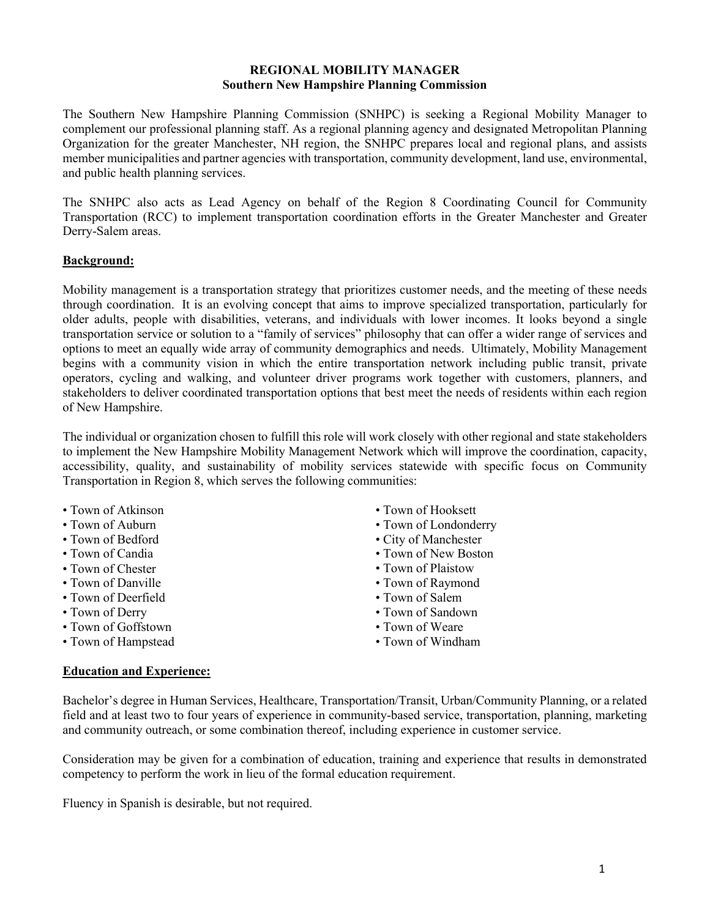### **REGIONAL MOBILITY MANAGER Southern New Hampshire Planning Commission**

The Southern New Hampshire Planning Commission (SNHPC) is seeking a Regional Mobility Manager to complement our professional planning staff. As a regional planning agency and designated Metropolitan Planning Organization for the greater Manchester, NH region, the SNHPC prepares local and regional plans, and assists member municipalities and partner agencies with transportation, community development, land use, environmental, and public health planning services.

The SNHPC also acts as Lead Agency on behalf of the Region 8 Coordinating Council for Community Transportation (RCC) to implement transportation coordination efforts in the Greater Manchester and Greater Derry-Salem areas.

# **Background:**

Mobility management is a transportation strategy that prioritizes customer needs, and the meeting of these needs through coordination. It is an evolving concept that aims to improve specialized transportation, particularly for older adults, people with disabilities, veterans, and individuals with lower incomes. It looks beyond a single transportation service or solution to a "family of services" philosophy that can offer a wider range of services and options to meet an equally wide array of community demographics and needs. Ultimately, Mobility Management begins with a community vision in which the entire transportation network including public transit, private operators, cycling and walking, and volunteer driver programs work together with customers, planners, and stakeholders to deliver coordinated transportation options that best meet the needs of residents within each region of New Hampshire.

The individual or organization chosen to fulfill this role will work closely with other regional and state stakeholders to implement the New Hampshire Mobility Management Network which will improve the coordination, capacity, accessibility, quality, and sustainability of mobility services statewide with specific focus on Community Transportation in Region 8, which serves the following communities:

- Town of Atkinson
- Town of Auburn
- Town of Bedford
- Town of Candia
- Town of Chester
- Town of Danville
- Town of Deerfield
- Town of Derry
- Town of Goffstown
- Town of Hampstead
- Town of Hooksett
- Town of Londonderry
- City of Manchester
- Town of New Boston
- Town of Plaistow
- Town of Raymond
- Town of Salem
- Town of Sandown
- Town of Weare
- Town of Windham

# **Education and Experience:**

Bachelor's degree in Human Services, Healthcare, Transportation/Transit, Urban/Community Planning, or a related field and at least two to four years of experience in community-based service, transportation, planning, marketing and community outreach, or some combination thereof, including experience in customer service.

Consideration may be given for a combination of education, training and experience that results in demonstrated competency to perform the work in lieu of the formal education requirement.

Fluency in Spanish is desirable, but not required.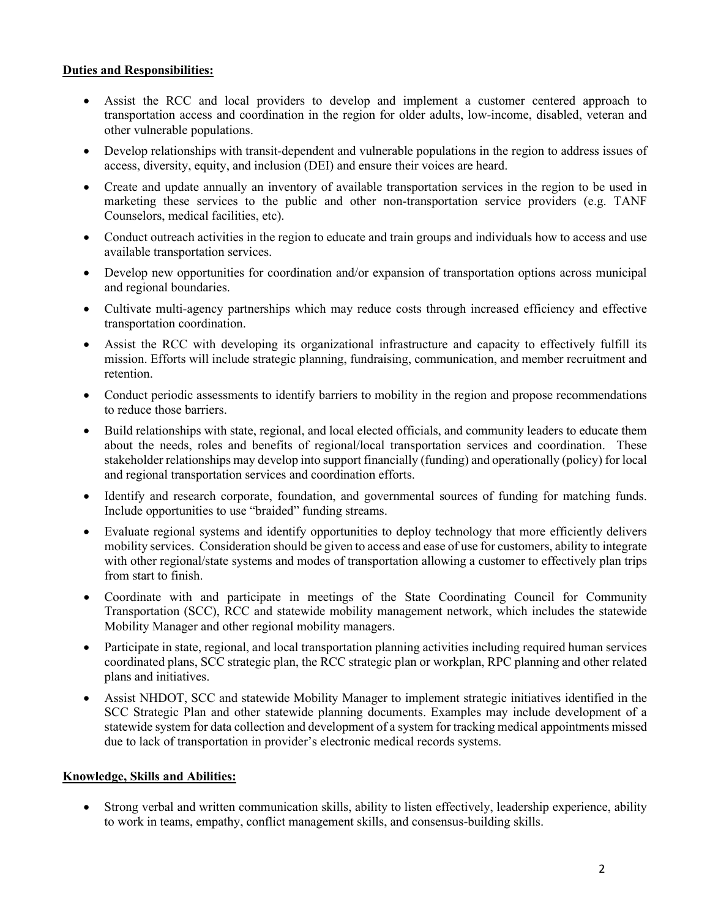# **Duties and Responsibilities:**

- Assist the RCC and local providers to develop and implement a customer centered approach to transportation access and coordination in the region for older adults, low-income, disabled, veteran and other vulnerable populations.
- Develop relationships with transit-dependent and vulnerable populations in the region to address issues of access, diversity, equity, and inclusion (DEI) and ensure their voices are heard.
- Create and update annually an inventory of available transportation services in the region to be used in marketing these services to the public and other non-transportation service providers (e.g. TANF Counselors, medical facilities, etc).
- Conduct outreach activities in the region to educate and train groups and individuals how to access and use available transportation services.
- Develop new opportunities for coordination and/or expansion of transportation options across municipal and regional boundaries.
- Cultivate multi-agency partnerships which may reduce costs through increased efficiency and effective transportation coordination.
- Assist the RCC with developing its organizational infrastructure and capacity to effectively fulfill its mission. Efforts will include strategic planning, fundraising, communication, and member recruitment and retention.
- Conduct periodic assessments to identify barriers to mobility in the region and propose recommendations to reduce those barriers.
- Build relationships with state, regional, and local elected officials, and community leaders to educate them about the needs, roles and benefits of regional/local transportation services and coordination. These stakeholder relationships may develop into support financially (funding) and operationally (policy) for local and regional transportation services and coordination efforts.
- Identify and research corporate, foundation, and governmental sources of funding for matching funds. Include opportunities to use "braided" funding streams.
- Evaluate regional systems and identify opportunities to deploy technology that more efficiently delivers mobility services. Consideration should be given to access and ease of use for customers, ability to integrate with other regional/state systems and modes of transportation allowing a customer to effectively plan trips from start to finish.
- Coordinate with and participate in meetings of the State Coordinating Council for Community Transportation (SCC), RCC and statewide mobility management network, which includes the statewide Mobility Manager and other regional mobility managers.
- Participate in state, regional, and local transportation planning activities including required human services coordinated plans, SCC strategic plan, the RCC strategic plan or workplan, RPC planning and other related plans and initiatives.
- Assist NHDOT, SCC and statewide Mobility Manager to implement strategic initiatives identified in the SCC Strategic Plan and other statewide planning documents. Examples may include development of a statewide system for data collection and development of a system for tracking medical appointments missed due to lack of transportation in provider's electronic medical records systems.

# **Knowledge, Skills and Abilities:**

• Strong verbal and written communication skills, ability to listen effectively, leadership experience, ability to work in teams, empathy, conflict management skills, and consensus-building skills.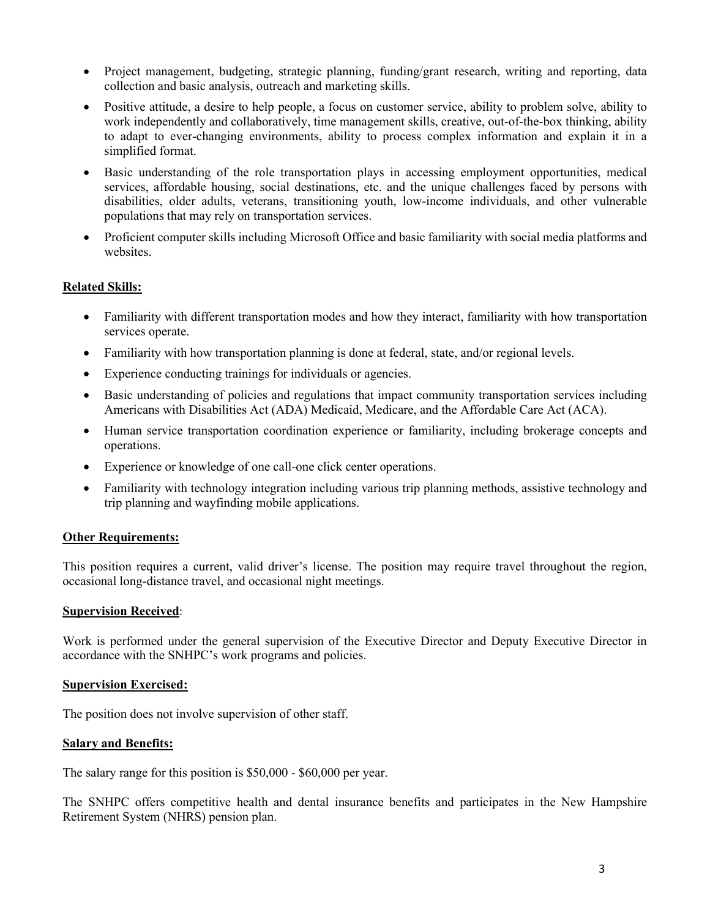- Project management, budgeting, strategic planning, funding/grant research, writing and reporting, data collection and basic analysis, outreach and marketing skills.
- Positive attitude, a desire to help people, a focus on customer service, ability to problem solve, ability to work independently and collaboratively, time management skills, creative, out-of-the-box thinking, ability to adapt to ever-changing environments, ability to process complex information and explain it in a simplified format.
- Basic understanding of the role transportation plays in accessing employment opportunities, medical services, affordable housing, social destinations, etc. and the unique challenges faced by persons with disabilities, older adults, veterans, transitioning youth, low-income individuals, and other vulnerable populations that may rely on transportation services.
- Proficient computer skills including Microsoft Office and basic familiarity with social media platforms and websites.

# **Related Skills:**

- Familiarity with different transportation modes and how they interact, familiarity with how transportation services operate.
- Familiarity with how transportation planning is done at federal, state, and/or regional levels.
- Experience conducting trainings for individuals or agencies.
- Basic understanding of policies and regulations that impact community transportation services including Americans with Disabilities Act (ADA) Medicaid, Medicare, and the Affordable Care Act (ACA).
- Human service transportation coordination experience or familiarity, including brokerage concepts and operations.
- Experience or knowledge of one call-one click center operations.
- Familiarity with technology integration including various trip planning methods, assistive technology and trip planning and wayfinding mobile applications.

## **Other Requirements:**

This position requires a current, valid driver's license. The position may require travel throughout the region, occasional long-distance travel, and occasional night meetings.

### **Supervision Received**:

Work is performed under the general supervision of the Executive Director and Deputy Executive Director in accordance with the SNHPC's work programs and policies.

### **Supervision Exercised:**

The position does not involve supervision of other staff.

### **Salary and Benefits:**

The salary range for this position is \$50,000 - \$60,000 per year.

The SNHPC offers competitive health and dental insurance benefits and participates in the New Hampshire Retirement System (NHRS) pension plan.